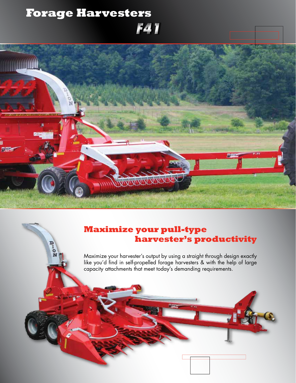## **Forage Harvesters** *F41*



#### **Maximize your pull-type harvester's productivity**

Maximize your harvester's output by using a straight through design exactly like you'd find in self-propelled forage harvesters & with the help of large capacity attachments that meet today's demanding requirements.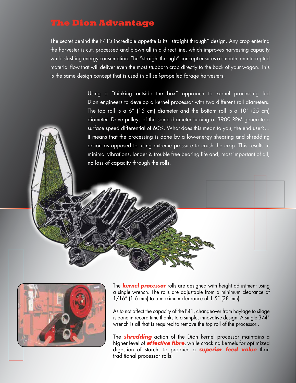#### **The Dion Advantage**

The secret behind the F41's incredible appetite is its "straight through" design. Any crop entering the harvester is cut, processed and blown all in a direct line, which improves harvesting capacity while slashing energy consumption. The "straight through" concept ensures a smooth, uninterrupted material flow that will deliver even the most stubborn crop directly to the back of your wagon. This is the same design concept that is used in all self-propelled forage harvesters.

> Using a "thinking outside the box" approach to kernel processing led Dion engineers to develop a kernel processor with two different roll diameters. The top roll is a 6" (15 cm) diameter and the bottom roll is a 10" (25 cm) diameter. Drive pulleys of the same diameter turning at 3900 RPM generate a surface speed differential of 60%. What does this mean to you, the end user?... It means that the processing is done by a low-energy shearing and shredding action as opposed to using extreme pressure to crush the crop. This results in minimal vibrations, longer & trouble free bearing life and, most important of all, no loss of capacity through the rolls.



The *kernel processor* rolls are designed with height adjustment using a single wrench. The rolls are adjustable from a minimum clearance of 1/16" (1.6 mm) to a maximum clearance of 1.5" (38 mm).

As to not affect the capacity of the F41, changeover from haylage to silage is done in record time thanks to a simple, innovative design. A single 3/4" wrench is all that is required to remove the top roll of the processor..

The *shredding* action of the Dion kernel processor maintains a higher level of *effective fibre*, while cracking kernels for optimized digestion of starch, to produce a *superior feed value* than traditional processor rolls.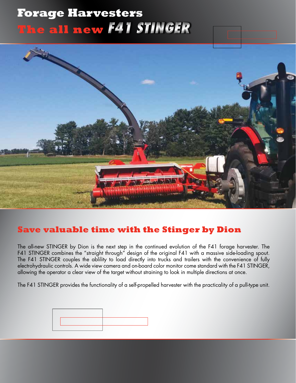# *F41 STINGER*  **The all newForage Harvesters**



#### **Save valuable time with the Stinger by Dion**

The all-new STINGER by Dion is the next step in the continued evolution of the F41 forage harvester. The F41 STINGER combines the "straight through" design of the original F41 with a massive side-loading spout. The F41 STINGER couples the ablility to load directly into trucks and trailers with the convenience of fully electrohydraulic controls. A wide view camera and on-board color monitor come standard with the F41 STINGER, allowing the operator a clear view of the target without straining to look in multiple directions at once.

The F41 STINGER provides the functionality of a self-propelled harvester with the practicality of a pull-type unit.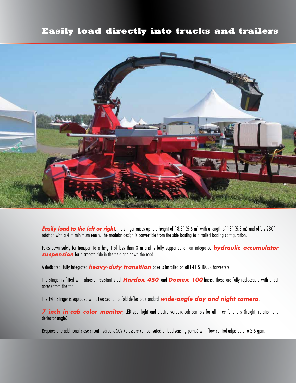#### **Easily load directly into trucks and trailers**



**Easily load to the left or right**, the stinger raises up to a height of 18.5' (5.6 m) with a length of 18' (5.5 m) and offers 280° rotation with a 4 m minimum reach. The modular design is convertible from the side loading to a trailed loading configuration.

Folds down safely for transport to a height of less than 3 m and is fully supported on an integrated *hydraulic accumulator suspension* for a smooth ride in the field and down the road.

A dedicated, fully integrated *heavy-duty transition* base is installed on all F41 STINGER harvesters.

The stinger is fitted with abrasion-resistant steel *Hardox 450* and *Domex 100* liners. These are fully replaceable with direct access from the top.

The F41 Stinger is equipped with, two section bi-fold deflector, standard *wide-angle day and night camera*.

*7 inch in-cab color monitor*, LED spot light and electrohydraulic cab controls for all three functions (height, rotation and deflector angle).

Requires one additional close-circuit hydraulic SCV (pressure compensated or load-sensing pump) with flow control adjustable to 2.5 gpm.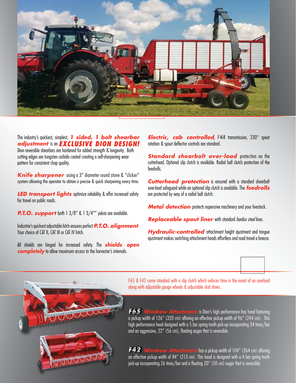

The industry's quickest, simplest, *1 sided, 1 bolt shearbar adjustment* is an *EXCLUSIVE DION DESIGN!* Dion reversible shearbars are hardened for added strength & longevity. Both cutting edges are tungsten carbide coated creating a self-sharpening wear pattern for consistent chop quality.

*Knife sharpener* using a 3" diameter round stone & "clicker" system allowing the operator to obtain a precise & quick sharpening every time.

**LED transport lights** optimize reliability & offer increased safety for travel on public roads.

**P.T.O. support** both 1 3/8" & 1 3/4"" yokes are available.

Industrie's quickest adjustable hitch ensures perfect *P.T.O. alignment*. Your choice of CAT II, CAT III or CAT IV hitch.

All shields are hinged for increased safety. The *shields open completely* to allow maximum access to the harvester's internals.

*Electric, cab controlled*, F-N-R transmission, 230° spout rotation & spout deflector controls are standard.

**Standard shearbolt over-load** protection on the cutterhead. Optional slip clutch is available. Radial ball clutch protection of the feedrolls.

*Cutterhead protection* is ensured with a standard shearbolt over-load safeguard while an optional slip clutch is available. The *feedrolls*  are protected by way of a radial ball clutch.

**Metal detection** protects expensive machinery and your livestock.

*Replaceable spout liner* with standard *hardox steel* liner.

**Hydraulic-controlled** attachment height aiustment and tongue ajustment makes switching attachment heads effortless and road travel a breeze.





F65 & F42 come standard with a slip clutch which reduces time in the event of an overload along with adjustable gauge wheels & adjustable skid shoes.

*Windrow Attachment* is Dion's high performance hay head featuring a pickup width of 126" (320 cm) offering an effective pickup width of 96" (244 cm). This high performance head designed with a 5 bar spring tooth pick-up incorporating 34 tines/bar and an aggressive, 22" (56 cm), floating auger that is reversible. *F65*

*Windrow Attachment* has a pickup width of 104" (264 cm) offering an effective pickup width of 84" (213 cm). This head is designed with a 4 bar spring tooth pick-up incorporating 26 tines/bar and a floating 20" (50 cm) auger that is reversible. *F42*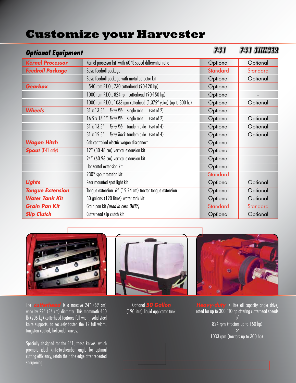## **Customize your Harvester**

| <b>Optional Equipment</b> |                                                                   | 731             | 741 STINGER |
|---------------------------|-------------------------------------------------------------------|-----------------|-------------|
| <b>Kernel Processor</b>   | Kernel processor kit with 60 % speed differential ratio           | Optional        | Optional    |
| <b>Feedroll Package</b>   | Basic feedroll package                                            | <b>Standard</b> | Standard    |
|                           | Basic feedroll package with metal detector kit                    | Optional        | Optional    |
| <b>Gearbox</b>            | 540 rpm P.T.O., 730 cutterhead (90-120 hp)                        | Optional        |             |
|                           | 1000 rpm P.T.O., 824 rpm cutterhead (90-150 hp)                   | Optional        |             |
|                           | 1000 rpm P.T.O., 1033 rpm cutterhead (1.375" yoke) (up to 300 hp) | Optional        | Optional    |
| <b>Wheels</b>             | 31 x 13.5" Terra Rib single axle<br>(set of 2)                    | Optional        |             |
|                           | 16.5 x 16.1" Terra Rib single axle<br>(set of 2)                  | Optional        | Optional    |
|                           | $31 \times 13.5''$<br>Terra Rib tandem axle (set of 4)            | Optional        | Optional    |
|                           | 31 x 15.5" Terra Track tandem axle (set of 4)                     | Optional        | Optional    |
| <b>Wagon Hitch</b>        | Cab controlled electric wagon disconnect                          | Optional        |             |
| <b>Spout</b> (F41 only)   | 12" (30.48 cm) vertical extension kit                             | Optional        |             |
|                           | 24" (60.96 cm) vertical extension kit                             | Optional        |             |
|                           | Horizontal extension kit                                          | Optional        |             |
|                           | $230^\circ$ spout rotation kit                                    | Standard        |             |
| Lights                    | Rear mounted spot light kit                                       | Optional        | Optional    |
| <b>Tongue Extension</b>   | Tongue extension 6" (15.24 cm) tractor tongue extension           | Optional        | Optional    |
| <b>Water Tank Kit</b>     | 50 gallons (190 litres) water tank kit                            | Optional        | Optional    |
| <b>Grain Pan Kit</b>      | Grain pan kit (used in corn ONLY)                                 | Standard        | Standard    |
| <b>Slip Clutch</b>        | Cutterhead slip clutch kit                                        | Optional        | Optional    |

The **cutterhead** is a massive 24" (69 cm) wide by 22" (56 cm) diameter. This mammoth 450 lb (205 kg) cutterhead features full width, solid steel knife supports, to securely fasten the 12 full width, tungsten coated, helicoidal knives.

Specially designed for the F41, these knives, which promote ideal knife-to-shearbar angle for optimal cutting efficiency, retain their fine edge after repeated sharpening.



Optional *50 Gallon*  (190 litre) liquid applicator tank.



**Luty** 7 litre oil capacity angle drive, rated for up to 300 PTO hp offering cutterhead speeds of 824 rpm (tractors up to 150 hp) or 1033 rpm (tractors up to 300 hp).